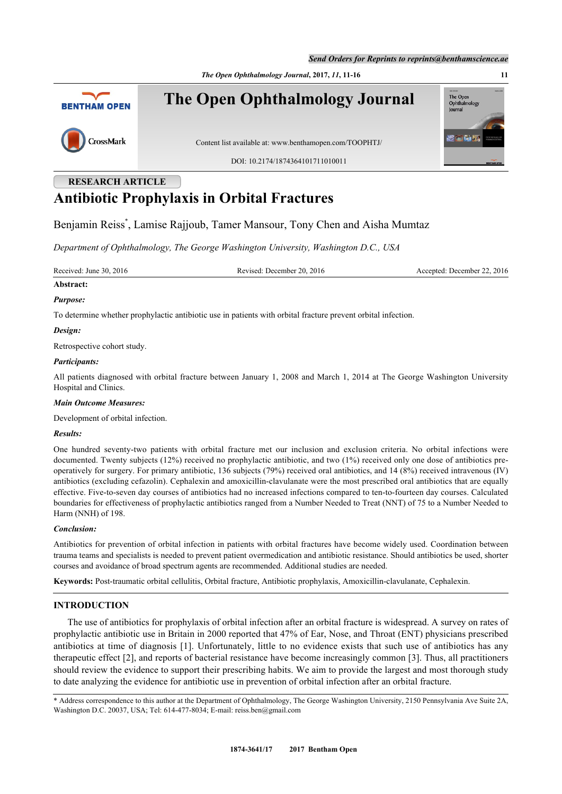*Send Orders for Reprints to reprints@benthamscience.ae*

The Oper<br>Ophthalm

lournal

*The Open Ophthalmology Journal***, 2017,** *11***, 11-16 11**



**The Open Ophthalmology Journal**



Content list available at: [www.benthamopen.com/TOOPHTJ/](http://www.benthamopen.com/TOOPHTJ/)

DOI: [10.2174/1874364101711010011](http://dx.doi.org/10.2174/1874364101711010011)

# **RESEARCH ARTICLE Antibiotic Prophylaxis in Orbital Fractures**

Benjamin Reiss[\\*](#page-0-0) , Lamise Rajjoub, Tamer Mansour, Tony Chen and Aisha Mumtaz

*Department of Ophthalmology, The George Washington University, Washington D.C., USA*

Received: June 30, 2016 Revised: December 20, 2016 Accepted: December 22, 2016

# **Abstract:**

# *Purpose:*

To determine whether prophylactic antibiotic use in patients with orbital fracture prevent orbital infection.

## *Design:*

Retrospective cohort study.

#### *Participants:*

All patients diagnosed with orbital fracture between January 1, 2008 and March 1, 2014 at The George Washington University Hospital and Clinics.

# *Main Outcome Measures:*

Development of orbital infection.

#### *Results:*

One hundred seventy-two patients with orbital fracture met our inclusion and exclusion criteria. No orbital infections were documented. Twenty subjects (12%) received no prophylactic antibiotic, and two (1%) received only one dose of antibiotics preoperatively for surgery. For primary antibiotic, 136 subjects (79%) received oral antibiotics, and 14 (8%) received intravenous (IV) antibiotics (excluding cefazolin). Cephalexin and amoxicillin-clavulanate were the most prescribed oral antibiotics that are equally effective. Five-to-seven day courses of antibiotics had no increased infections compared to ten-to-fourteen day courses. Calculated boundaries for effectiveness of prophylactic antibiotics ranged from a Number Needed to Treat (NNT) of 75 to a Number Needed to Harm (NNH) of 198.

# *Conclusion:*

Antibiotics for prevention of orbital infection in patients with orbital fractures have become widely used. Coordination between trauma teams and specialists is needed to prevent patient overmedication and antibiotic resistance. Should antibiotics be used, shorter courses and avoidance of broad spectrum agents are recommended. Additional studies are needed.

**Keywords:** Post-traumatic orbital cellulitis, Orbital fracture, Antibiotic prophylaxis, Amoxicillin-clavulanate, Cephalexin.

# **INTRODUCTION**

The use of antibiotics for prophylaxis of orbital infection after an orbital fracture is widespread. A survey on rates of prophylactic antibiotic use in Britain in 2000 reported that 47% of Ear, Nose, and Throat (ENT) physicians prescribed antibiotics at time of diagnosis [\[1\]](#page-5-0). Unfortunately, little to no evidence exists that such use of antibiotics has any therapeutic effect [\[2\]](#page-5-1), and reports of bacterial resistance have become increasingly common [[3](#page-5-2)]. Thus, all practitioners should review the evidence to support their prescribing habits. We aim to provide the largest and most thorough study to date analyzing the evidence for antibiotic use in prevention of orbital infection after an orbital fracture.

<span id="page-0-0"></span><sup>\*</sup> Address correspondence to this author at the Department of Ophthalmology, The George Washington University, 2150 Pennsylvania Ave Suite 2A, Washington D.C. 20037, USA; Tel: 614-477-8034; E-mail: [reiss.ben@gmail.com](mailto:reiss.ben@gmail.com)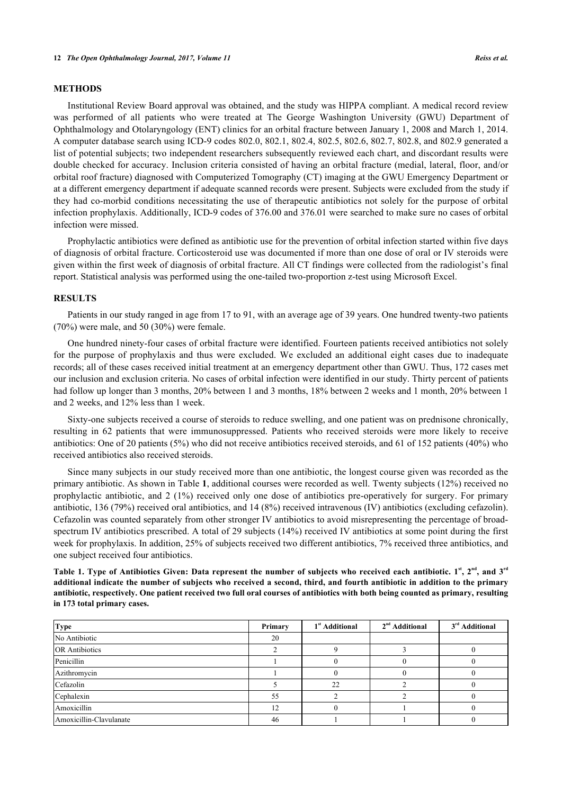### **METHODS**

Institutional Review Board approval was obtained, and the study was HIPPA compliant. A medical record review was performed of all patients who were treated at The George Washington University (GWU) Department of Ophthalmology and Otolaryngology (ENT) clinics for an orbital fracture between January 1, 2008 and March 1, 2014. A computer database search using ICD-9 codes 802.0, 802.1, 802.4, 802.5, 802.6, 802.7, 802.8, and 802.9 generated a list of potential subjects; two independent researchers subsequently reviewed each chart, and discordant results were double checked for accuracy. Inclusion criteria consisted of having an orbital fracture (medial, lateral, floor, and/or orbital roof fracture) diagnosed with Computerized Tomography (CT) imaging at the GWU Emergency Department or at a different emergency department if adequate scanned records were present. Subjects were excluded from the study if they had co-morbid conditions necessitating the use of therapeutic antibiotics not solely for the purpose of orbital infection prophylaxis. Additionally, ICD-9 codes of 376.00 and 376.01 were searched to make sure no cases of orbital infection were missed.

Prophylactic antibiotics were defined as antibiotic use for the prevention of orbital infection started within five days of diagnosis of orbital fracture. Corticosteroid use was documented if more than one dose of oral or IV steroids were given within the first week of diagnosis of orbital fracture. All CT findings were collected from the radiologist's final report. Statistical analysis was performed using the one-tailed two-proportion z-test using Microsoft Excel.

#### **RESULTS**

Patients in our study ranged in age from 17 to 91, with an average age of 39 years. One hundred twenty-two patients (70%) were male, and 50 (30%) were female.

One hundred ninety-four cases of orbital fracture were identified. Fourteen patients received antibiotics not solely for the purpose of prophylaxis and thus were excluded. We excluded an additional eight cases due to inadequate records; all of these cases received initial treatment at an emergency department other than GWU. Thus, 172 cases met our inclusion and exclusion criteria. No cases of orbital infection were identified in our study. Thirty percent of patients had follow up longer than 3 months,  $20\%$  between 1 and 3 months, 18% between 2 weeks and 1 month,  $20\%$  between 1 and 2 weeks, and 12% less than 1 week.

Sixty-one subjects received a course of steroids to reduce swelling, and one patient was on prednisone chronically, resulting in 62 patients that were immunosuppressed. Patients who received steroids were more likely to receive antibiotics: One of 20 patients (5%) who did not receive antibiotics received steroids, and 61 of 152 patients (40%) who received antibiotics also received steroids.

Since many subjects in our study received more than one antibiotic, the longest course given was recorded as the primary antibiotic. As shown in Table **[1](#page-1-0)**, additional courses were recorded as well. Twenty subjects (12%) received no prophylactic antibiotic, and 2 (1%) received only one dose of antibiotics pre-operatively for surgery. For primary antibiotic, 136 (79%) received oral antibiotics, and 14 (8%) received intravenous (IV) antibiotics (excluding cefazolin). Cefazolin was counted separately from other stronger IV antibiotics to avoid misrepresenting the percentage of broadspectrum IV antibiotics prescribed. A total of 29 subjects (14%) received IV antibiotics at some point during the first week for prophylaxis. In addition, 25% of subjects received two different antibiotics, 7% received three antibiotics, and one subject received four antibiotics.

<span id="page-1-0"></span>**Table 1. Type of Antibiotics Given: Data represent the number of subjects who received each antibiotic. 1st, 2nd, and 3rd additional indicate the number of subjects who received a second, third, and fourth antibiotic in addition to the primary antibiotic, respectively. One patient received two full oral courses of antibiotics with both being counted as primary, resulting in 173 total primary cases.**

| <b>Type</b>             | Primary | 1 <sup>st</sup> Additional | $2nd$ Additional | 3 <sup>rd</sup> Additional |
|-------------------------|---------|----------------------------|------------------|----------------------------|
| No Antibiotic           | 20      |                            |                  |                            |
| <b>OR</b> Antibiotics   |         |                            |                  |                            |
| Penicillin              |         |                            |                  |                            |
| Azithromycin            |         |                            |                  |                            |
| Cefazolin               |         | 22                         |                  |                            |
| Cephalexin              | 55      |                            |                  |                            |
| Amoxicillin             | 12      |                            |                  |                            |
| Amoxicillin-Clavulanate | 46      |                            |                  |                            |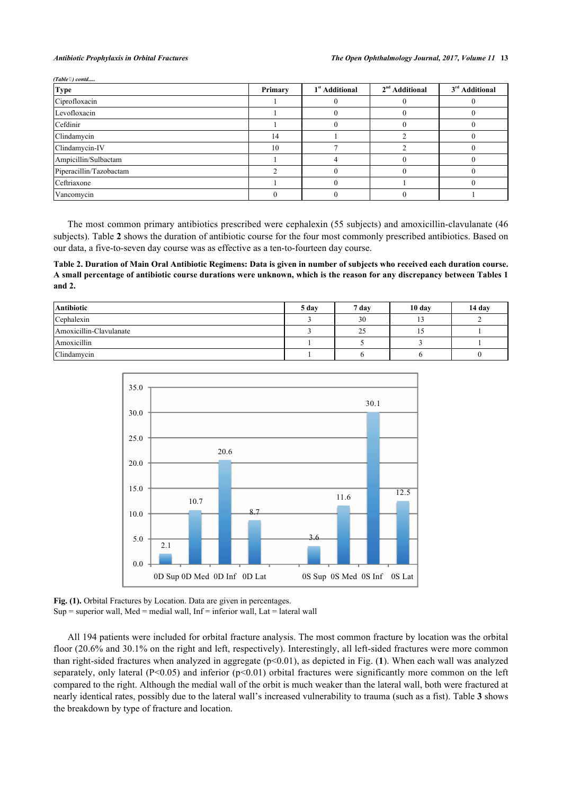*(Table ) contd.....*

| <b>Type</b>             | Primary | 1 <sup>st</sup> Additional | $2nd$ Additional | 3 <sup>rd</sup> Additional |
|-------------------------|---------|----------------------------|------------------|----------------------------|
| Ciprofloxacin           |         |                            |                  |                            |
| Levofloxacin            |         |                            |                  |                            |
| Cefdinir                |         |                            |                  |                            |
| Clindamycin             | 14      |                            |                  |                            |
| Clindamycin-IV          | 10      |                            |                  |                            |
| Ampicillin/Sulbactam    |         |                            |                  |                            |
| Piperacillin/Tazobactam |         |                            |                  |                            |
| Ceftriaxone             |         |                            |                  |                            |
| Vancomycin              |         |                            |                  |                            |

The most common primary antibiotics prescribed were cephalexin (55 subjects) and amoxicillin-clavulanate (46 subjects). Table **[2](#page-2-0)** shows the duration of antibiotic course for the four most commonly prescribed antibiotics. Based on our data, a five-to-seven day course was as effective as a ten-to-fourteen day course.

<span id="page-2-0"></span>**Table 2. Duration of Main Oral Antibiotic Regimens: Data is given in number of subjects who received each duration course. A small percentage of antibiotic course durations were unknown, which is the reason for any discrepancy between Tables 1 and 2.**

<span id="page-2-1"></span>

| <b>Antibiotic</b>       | 5 day | 7 day        | 10 day | 14 day |
|-------------------------|-------|--------------|--------|--------|
| Cephalexin              |       | 30           | . .    |        |
| Amoxicillin-Clavulanate |       | $\sim$<br>20 |        |        |
| Amoxicillin             |       |              |        |        |
| Clindamycin             |       |              |        |        |



Fig. (1). Orbital Fractures by Location. Data are given in percentages.  $Sup = superior wall$ , Med = medial wall, Inf = inferior wall, Lat = lateral wall

<span id="page-2-2"></span>All 194 patients were included for orbital fracture analysis. The most common fracture by location was the orbital floor (20.6% and 30.1% on the right and left, respectively). Interestingly, all left-sided fractures were more common than right-sided fractures when analyzed in aggregate (p<0.01), as depicted in Fig. (**[1](#page-2-1)**). When each wall was analyzed separately, only lateral ( $P<0.05$ ) and inferior ( $p<0.01$ ) orbital fractures were significantly more common on the left compared to the right. Although the medial wall of the orbit is much weaker than the lateral wall, both were fractured at nearly identical rates, possibly due to the lateral wall's increased vulnerability to trauma (such as a fist). Table **[3](#page-2-2)** shows the breakdown by type of fracture and location.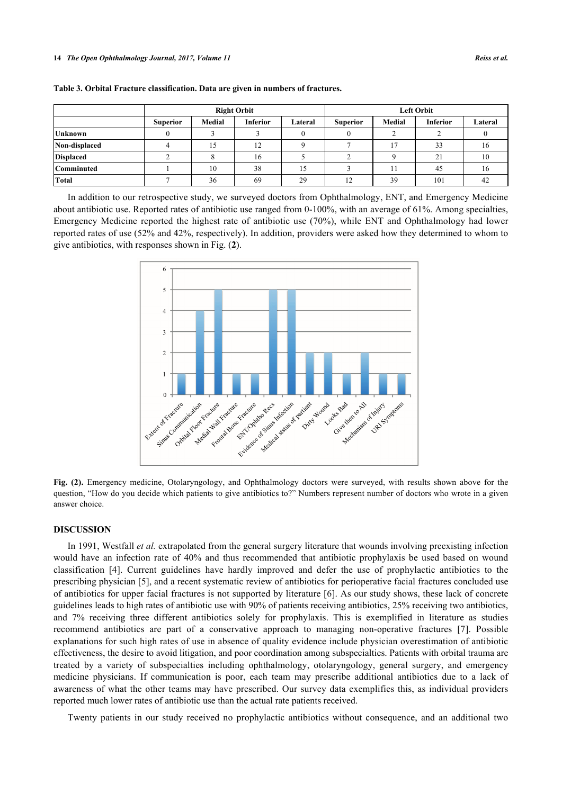| <b>Right Orbit</b>                                                                   | <b>Left Orbit</b> |         |  |  |
|--------------------------------------------------------------------------------------|-------------------|---------|--|--|
| <b>Inferior</b><br>Medial<br>Medial<br>Lateral<br><b>Superior</b><br><b>Superior</b> | <b>Inferior</b>   | Lateral |  |  |
| Unknown                                                                              |                   |         |  |  |
| Non-displaced<br>ר ו<br>12<br>15.                                                    | 33                | 16      |  |  |
| Displaced<br>16                                                                      | $\sim$<br>-∠ 1    | 10      |  |  |

**Table 3. Orbital Fracture classification. Data are given in numbers of fractures.**

<span id="page-3-0"></span>In addition to our retrospective study, we surveyed doctors from Ophthalmology, ENT, and Emergency Medicine about antibiotic use. Reported rates of antibiotic use ranged from 0-100%, with an average of 61%. Among specialties, Emergency Medicine reported the highest rate of antibiotic use (70%), while ENT and Ophthalmology had lower reported rates of use (52% and 42%, respectively). In addition, providers were asked how they determined to whom to give antibiotics, with responses shown in Fig. (**[2](#page-3-0)**).

**Comminuted** 1 1 10 38 15 3 11 45 16 **Total** 1 1 1 2 36 69 29 12 39 101 42



**Fig. (2).** Emergency medicine, Otolaryngology, and Ophthalmology doctors were surveyed, with results shown above for the question, "How do you decide which patients to give antibiotics to?" Numbers represent number of doctors who wrote in a given answer choice.

#### **DISCUSSION**

In 1991, Westfall *et al.* extrapolated from the general surgery literature that wounds involving preexisting infection would have an infection rate of 40% and thus recommended that antibiotic prophylaxis be used based on wound classification[[4](#page-5-3)]. Current guidelines have hardly improved and defer the use of prophylactic antibiotics to the prescribing physician [[5\]](#page-5-4), and a recent systematic review of antibiotics for perioperative facial fractures concluded use of antibiotics for upper facial fractures is not supported by literature [[6\]](#page-5-5). As our study shows, these lack of concrete guidelines leads to high rates of antibiotic use with 90% of patients receiving antibiotics, 25% receiving two antibiotics, and 7% receiving three different antibiotics solely for prophylaxis. This is exemplified in literature as studies recommend antibiotics are part of a conservative approach to managing non-operative fractures[[7](#page-5-6)]. Possible explanations for such high rates of use in absence of quality evidence include physician overestimation of antibiotic effectiveness, the desire to avoid litigation, and poor coordination among subspecialties. Patients with orbital trauma are treated by a variety of subspecialties including ophthalmology, otolaryngology, general surgery, and emergency medicine physicians. If communication is poor, each team may prescribe additional antibiotics due to a lack of awareness of what the other teams may have prescribed. Our survey data exemplifies this, as individual providers reported much lower rates of antibiotic use than the actual rate patients received.

Twenty patients in our study received no prophylactic antibiotics without consequence, and an additional two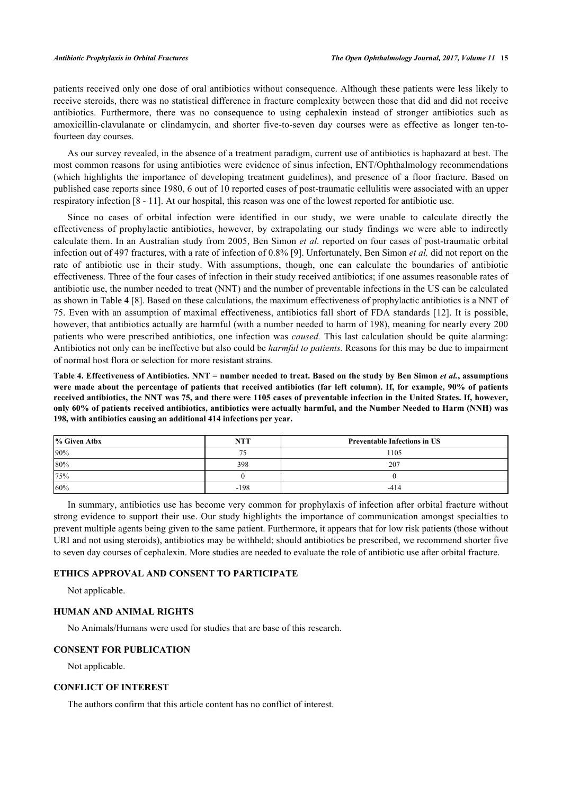patients received only one dose of oral antibiotics without consequence. Although these patients were less likely to receive steroids, there was no statistical difference in fracture complexity between those that did and did not receive antibiotics. Furthermore, there was no consequence to using cephalexin instead of stronger antibiotics such as amoxicillin-clavulanate or clindamycin, and shorter five-to-seven day courses were as effective as longer ten-tofourteen day courses.

As our survey revealed, in the absence of a treatment paradigm, current use of antibiotics is haphazard at best. The most common reasons for using antibiotics were evidence of sinus infection, ENT/Ophthalmology recommendations (which highlights the importance of developing treatment guidelines), and presence of a floor fracture. Based on published case reports since 1980, 6 out of 10 reported cases of post-traumatic cellulitis were associated with an upper respiratory infection [[8](#page-5-7) - [11](#page-5-8)]. At our hospital, this reason was one of the lowest reported for antibiotic use.

Since no cases of orbital infection were identified in our study, we were unable to calculate directly the effectiveness of prophylactic antibiotics, however, by extrapolating our study findings we were able to indirectly calculate them. In an Australian study from 2005, Ben Simon *et al.* reported on four cases of post-traumatic orbital infection out of 497 fractures, with a rate of infection of 0.8% [\[9](#page-5-9)]. Unfortunately, Ben Simon *et al.* did not report on the rate of antibiotic use in their study. With assumptions, though, one can calculate the boundaries of antibiotic effectiveness. Three of the four cases of infection in their study received antibiotics; if one assumes reasonable rates of antibiotic use, the number needed to treat (NNT) and the number of preventable infections in the US can be calculated as shown in Table **[4](#page-4-0)** [[8\]](#page-5-7). Based on these calculations, the maximum effectiveness of prophylactic antibiotics is a NNT of 75. Even with an assumption of maximal effectiveness, antibiotics fall short of FDA standards [[12\]](#page-5-10). It is possible, however, that antibiotics actually are harmful (with a number needed to harm of 198), meaning for nearly every 200 patients who were prescribed antibiotics, one infection was *caused.* This last calculation should be quite alarming: Antibiotics not only can be ineffective but also could be *harmful to patients.* Reasons for this may be due to impairment of normal host flora or selection for more resistant strains.

<span id="page-4-0"></span>**Table 4. Effectiveness of Antibiotics. NNT = number needed to treat. Based on the study by Ben Simon** *et al.***, assumptions were made about the percentage of patients that received antibiotics (far left column). If, for example, 90% of patients received antibiotics, the NNT was 75, and there were 1105 cases of preventable infection in the United States. If, however, only 60% of patients received antibiotics, antibiotics were actually harmful, and the Number Needed to Harm (NNH) was 198, with antibiotics causing an additional 414 infections per year.**

| % Given Atbx | <b>NTT</b> | <b>Preventable Infections in US</b> |
|--------------|------------|-------------------------------------|
| 90%          |            | 1105                                |
| 80%          | 398        | 207                                 |
| 75%          |            |                                     |
| 60%          | $-198$     | -414                                |

In summary, antibiotics use has become very common for prophylaxis of infection after orbital fracture without strong evidence to support their use. Our study highlights the importance of communication amongst specialties to prevent multiple agents being given to the same patient. Furthermore, it appears that for low risk patients (those without URI and not using steroids), antibiotics may be withheld; should antibiotics be prescribed, we recommend shorter five to seven day courses of cephalexin. More studies are needed to evaluate the role of antibiotic use after orbital fracture.

## **ETHICS APPROVAL AND CONSENT TO PARTICIPATE**

Not applicable.

#### **HUMAN AND ANIMAL RIGHTS**

No Animals/Humans were used for studies that are base of this research.

#### **CONSENT FOR PUBLICATION**

Not applicable.

### **CONFLICT OF INTEREST**

The authors confirm that this article content has no conflict of interest.